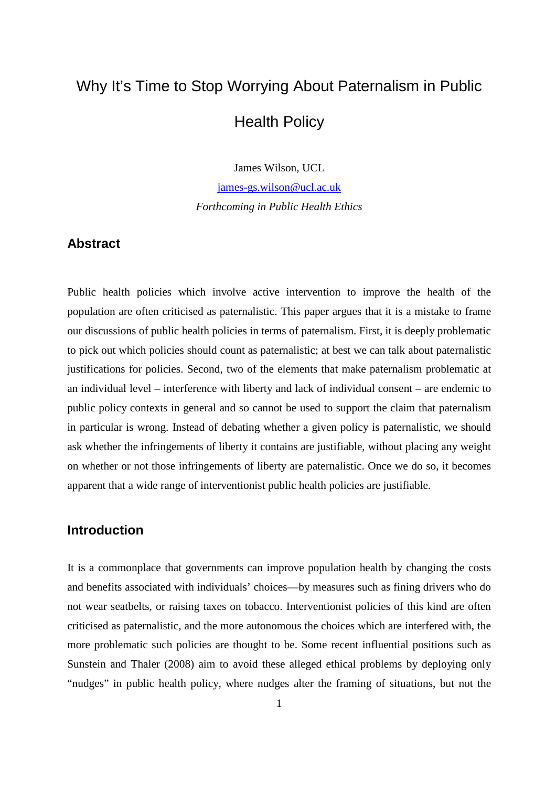# Why It's Time to Stop Worrying About Paternalism in Public Health Policy

James Wilson, UCL

james-gs.wilson@ucl.ac.uk *Forthcoming in Public Health Ethics*

## **Abstract**

Public health policies which involve active intervention to improve the health of the population are often criticised as paternalistic. This paper argues that it is a mistake to frame our discussions of public health policies in terms of paternalism. First, it is deeply problematic to pick out which policies should count as paternalistic; at best we can talk about paternalistic justifications for policies. Second, two of the elements that make paternalism problematic at an individual level – interference with liberty and lack of individual consent – are endemic to public policy contexts in general and so cannot be used to support the claim that paternalism in particular is wrong. Instead of debating whether a given policy is paternalistic, we should ask whether the infringements of liberty it contains are justifiable, without placing any weight on whether or not those infringements of liberty are paternalistic. Once we do so, it becomes apparent that a wide range of interventionist public health policies are justifiable.

## **Introduction**

It is a commonplace that governments can improve population health by changing the costs and benefits associated with individuals' choices—by measures such as fining drivers who do not wear seatbelts, or raising taxes on tobacco. Interventionist policies of this kind are often criticised as paternalistic, and the more autonomous the choices which are interfered with, the more problematic such policies are thought to be. Some recent influential positions such as Sunstein and Thaler (2008) aim to avoid these alleged ethical problems by deploying only "nudges" in public health policy, where nudges alter the framing of situations, but not the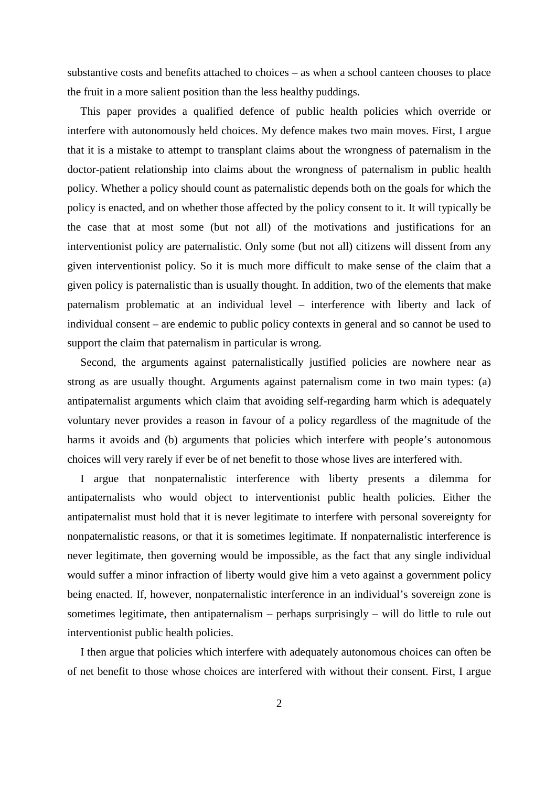substantive costs and benefits attached to choices – as when a school canteen chooses to place the fruit in a more salient position than the less healthy puddings.

This paper provides a qualified defence of public health policies which override or interfere with autonomously held choices. My defence makes two main moves. First, I argue that it is a mistake to attempt to transplant claims about the wrongness of paternalism in the doctor-patient relationship into claims about the wrongness of paternalism in public health policy. Whether a policy should count as paternalistic depends both on the goals for which the policy is enacted, and on whether those affected by the policy consent to it. It will typically be the case that at most some (but not all) of the motivations and justifications for an interventionist policy are paternalistic. Only some (but not all) citizens will dissent from any given interventionist policy. So it is much more difficult to make sense of the claim that a given policy is paternalistic than is usually thought. In addition, two of the elements that make paternalism problematic at an individual level – interference with liberty and lack of individual consent – are endemic to public policy contexts in general and so cannot be used to support the claim that paternalism in particular is wrong.

Second, the arguments against paternalistically justified policies are nowhere near as strong as are usually thought. Arguments against paternalism come in two main types: (a) antipaternalist arguments which claim that avoiding self-regarding harm which is adequately voluntary never provides a reason in favour of a policy regardless of the magnitude of the harms it avoids and (b) arguments that policies which interfere with people's autonomous choices will very rarely if ever be of net benefit to those whose lives are interfered with.

I argue that nonpaternalistic interference with liberty presents a dilemma for antipaternalists who would object to interventionist public health policies. Either the antipaternalist must hold that it is never legitimate to interfere with personal sovereignty for nonpaternalistic reasons, or that it is sometimes legitimate. If nonpaternalistic interference is never legitimate, then governing would be impossible, as the fact that any single individual would suffer a minor infraction of liberty would give him a veto against a government policy being enacted. If, however, nonpaternalistic interference in an individual's sovereign zone is sometimes legitimate, then antipaternalism – perhaps surprisingly – will do little to rule out interventionist public health policies.

I then argue that policies which interfere with adequately autonomous choices can often be of net benefit to those whose choices are interfered with without their consent. First, I argue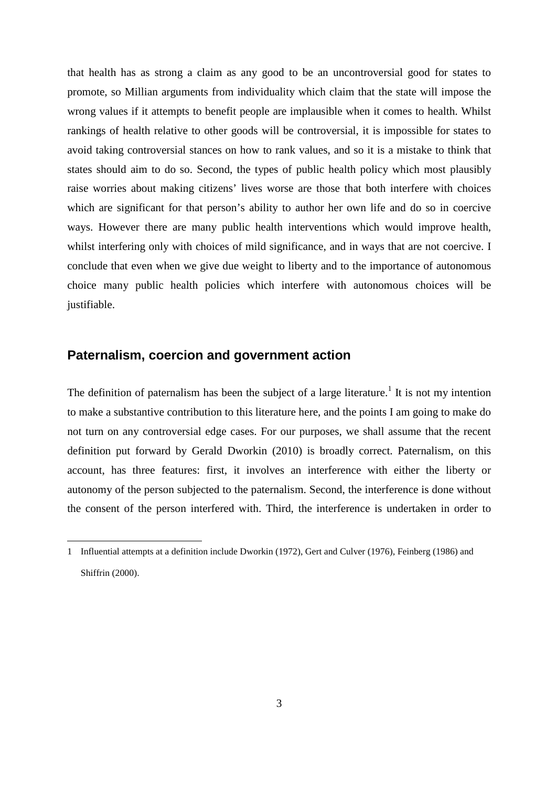that health has as strong a claim as any good to be an uncontroversial good for states to promote, so Millian arguments from individuality which claim that the state will impose the wrong values if it attempts to benefit people are implausible when it comes to health. Whilst rankings of health relative to other goods will be controversial, it is impossible for states to avoid taking controversial stances on how to rank values, and so it is a mistake to think that states should aim to do so. Second, the types of public health policy which most plausibly raise worries about making citizens' lives worse are those that both interfere with choices which are significant for that person's ability to author her own life and do so in coercive ways. However there are many public health interventions which would improve health, whilst interfering only with choices of mild significance, and in ways that are not coercive. I conclude that even when we give due weight to liberty and to the importance of autonomous choice many public health policies which interfere with autonomous choices will be justifiable.

## **Paternalism, coercion and government action**

The definition of paternalism has been the subject of a large literature.<sup>1</sup> It is not my intention to make a substantive contribution to this literature here, and the points I am going to make do not turn on any controversial edge cases. For our purposes, we shall assume that the recent definition put forward by Gerald Dworkin (2010) is broadly correct. Paternalism, on this account, has three features: first, it involves an interference with either the liberty or autonomy of the person subjected to the paternalism. Second, the interference is done without the consent of the person interfered with. Third, the interference is undertaken in order to

<sup>1</sup> Influential attempts at a definition include Dworkin (1972), Gert and Culver (1976), Feinberg (1986) and Shiffrin (2000).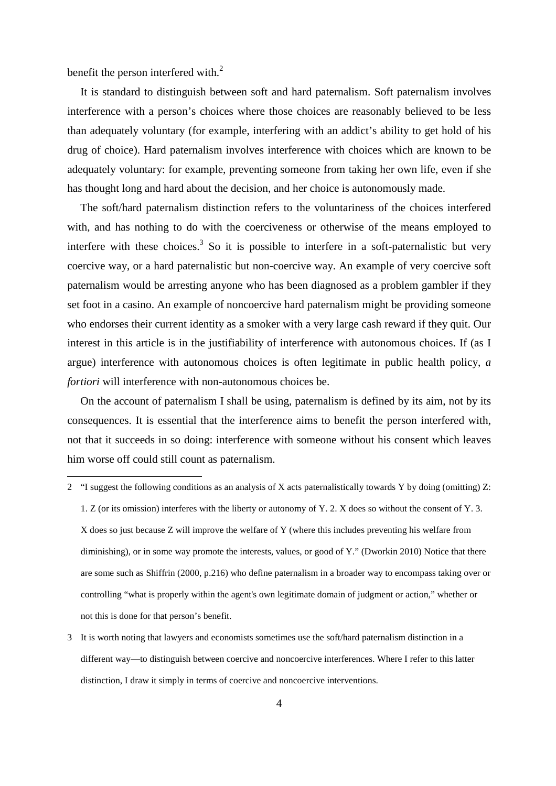benefit the person interfered with.<sup>2</sup>

It is standard to distinguish between soft and hard paternalism. Soft paternalism involves interference with a person's choices where those choices are reasonably believed to be less than adequately voluntary (for example, interfering with an addict's ability to get hold of his drug of choice). Hard paternalism involves interference with choices which are known to be adequately voluntary: for example, preventing someone from taking her own life, even if she has thought long and hard about the decision, and her choice is autonomously made.

The soft/hard paternalism distinction refers to the voluntariness of the choices interfered with, and has nothing to do with the coerciveness or otherwise of the means employed to interfere with these choices.<sup>3</sup> So it is possible to interfere in a soft-paternalistic but very coercive way, or a hard paternalistic but non-coercive way. An example of very coercive soft paternalism would be arresting anyone who has been diagnosed as a problem gambler if they set foot in a casino. An example of noncoercive hard paternalism might be providing someone who endorses their current identity as a smoker with a very large cash reward if they quit. Our interest in this article is in the justifiability of interference with autonomous choices. If (as I argue) interference with autonomous choices is often legitimate in public health policy, *a fortiori* will interference with non-autonomous choices be.

On the account of paternalism I shall be using, paternalism is defined by its aim, not by its consequences. It is essential that the interference aims to benefit the person interfered with, not that it succeeds in so doing: interference with someone without his consent which leaves him worse off could still count as paternalism.

<sup>&</sup>lt;sup>2</sup> "I suggest the following conditions as an analysis of X acts paternalistically towards Y by doing (omitting)  $Z$ :

<sup>1.</sup> Z (or its omission) interferes with the liberty or autonomy of Y. 2. X does so without the consent of Y. 3. X does so just because Z will improve the welfare of Y (where this includes preventing his welfare from diminishing), or in some way promote the interests, values, or good of Y." (Dworkin 2010) Notice that there are some such as Shiffrin (2000, p.216) who define paternalism in a broader way to encompass taking over or controlling "what is properly within the agent's own legitimate domain of judgment or action," whether or not this is done for that person's benefit.

<sup>3</sup> It is worth noting that lawyers and economists sometimes use the soft/hard paternalism distinction in a different way—to distinguish between coercive and noncoercive interferences. Where I refer to this latter distinction, I draw it simply in terms of coercive and noncoercive interventions.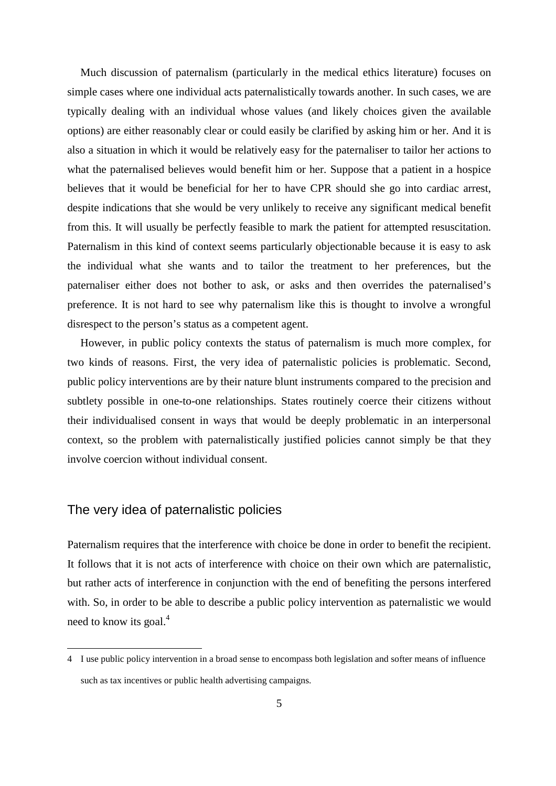Much discussion of paternalism (particularly in the medical ethics literature) focuses on simple cases where one individual acts paternalistically towards another. In such cases, we are typically dealing with an individual whose values (and likely choices given the available options) are either reasonably clear or could easily be clarified by asking him or her. And it is also a situation in which it would be relatively easy for the paternaliser to tailor her actions to what the paternalised believes would benefit him or her. Suppose that a patient in a hospice believes that it would be beneficial for her to have CPR should she go into cardiac arrest, despite indications that she would be very unlikely to receive any significant medical benefit from this. It will usually be perfectly feasible to mark the patient for attempted resuscitation. Paternalism in this kind of context seems particularly objectionable because it is easy to ask the individual what she wants and to tailor the treatment to her preferences, but the paternaliser either does not bother to ask, or asks and then overrides the paternalised's preference. It is not hard to see why paternalism like this is thought to involve a wrongful disrespect to the person's status as a competent agent.

However, in public policy contexts the status of paternalism is much more complex, for two kinds of reasons. First, the very idea of paternalistic policies is problematic. Second, public policy interventions are by their nature blunt instruments compared to the precision and subtlety possible in one-to-one relationships. States routinely coerce their citizens without their individualised consent in ways that would be deeply problematic in an interpersonal context, so the problem with paternalistically justified policies cannot simply be that they involve coercion without individual consent.

#### The very idea of paternalistic policies

Paternalism requires that the interference with choice be done in order to benefit the recipient. It follows that it is not acts of interference with choice on their own which are paternalistic, but rather acts of interference in conjunction with the end of benefiting the persons interfered with. So, in order to be able to describe a public policy intervention as paternalistic we would need to know its goal.<sup>4</sup>

<sup>4</sup> I use public policy intervention in a broad sense to encompass both legislation and softer means of influence such as tax incentives or public health advertising campaigns.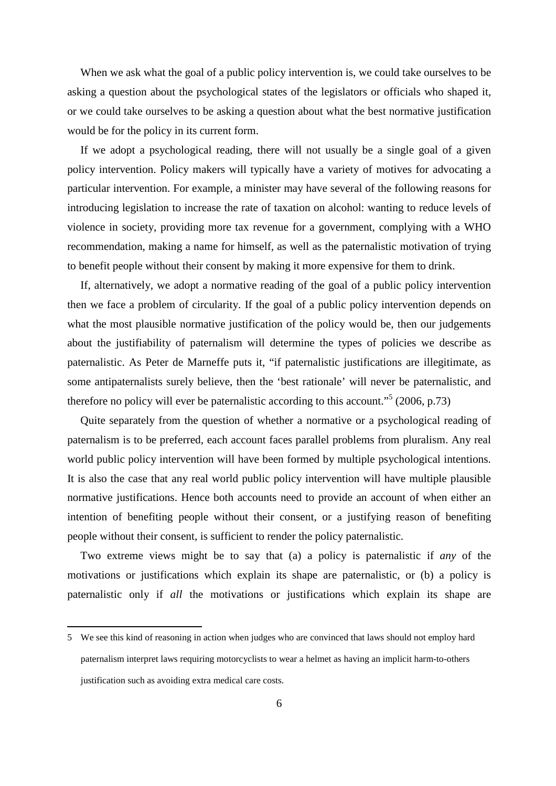When we ask what the goal of a public policy intervention is, we could take ourselves to be asking a question about the psychological states of the legislators or officials who shaped it, or we could take ourselves to be asking a question about what the best normative justification would be for the policy in its current form.

If we adopt a psychological reading, there will not usually be a single goal of a given policy intervention. Policy makers will typically have a variety of motives for advocating a particular intervention. For example, a minister may have several of the following reasons for introducing legislation to increase the rate of taxation on alcohol: wanting to reduce levels of violence in society, providing more tax revenue for a government, complying with a WHO recommendation, making a name for himself, as well as the paternalistic motivation of trying to benefit people without their consent by making it more expensive for them to drink.

If, alternatively, we adopt a normative reading of the goal of a public policy intervention then we face a problem of circularity. If the goal of a public policy intervention depends on what the most plausible normative justification of the policy would be, then our judgements about the justifiability of paternalism will determine the types of policies we describe as paternalistic. As Peter de Marneffe puts it, "if paternalistic justifications are illegitimate, as some antipaternalists surely believe, then the 'best rationale' will never be paternalistic, and therefore no policy will ever be paternalistic according to this account."<sup>5</sup> (2006, p.73)

Quite separately from the question of whether a normative or a psychological reading of paternalism is to be preferred, each account faces parallel problems from pluralism. Any real world public policy intervention will have been formed by multiple psychological intentions. It is also the case that any real world public policy intervention will have multiple plausible normative justifications. Hence both accounts need to provide an account of when either an intention of benefiting people without their consent, or a justifying reason of benefiting people without their consent, is sufficient to render the policy paternalistic.

Two extreme views might be to say that (a) a policy is paternalistic if *any* of the motivations or justifications which explain its shape are paternalistic, or (b) a policy is paternalistic only if *all* the motivations or justifications which explain its shape are

<sup>5</sup> We see this kind of reasoning in action when judges who are convinced that laws should not employ hard paternalism interpret laws requiring motorcyclists to wear a helmet as having an implicit harm-to-others justification such as avoiding extra medical care costs.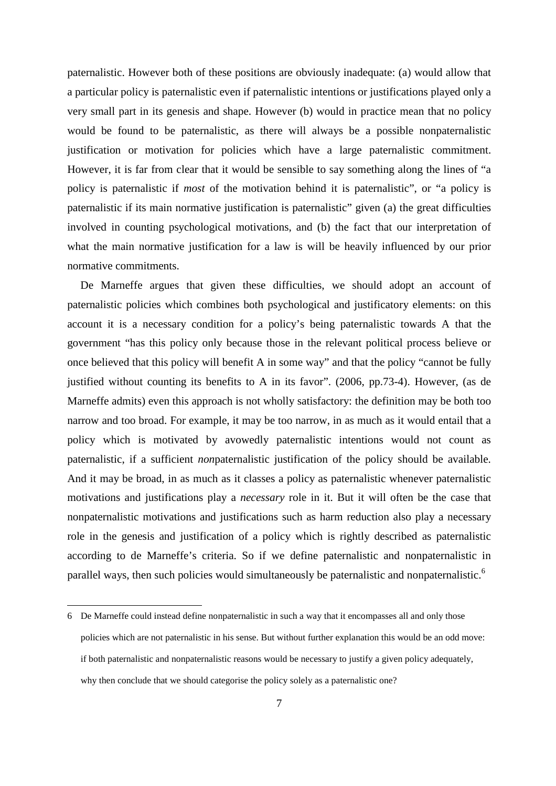paternalistic. However both of these positions are obviously inadequate: (a) would allow that a particular policy is paternalistic even if paternalistic intentions or justifications played only a very small part in its genesis and shape. However (b) would in practice mean that no policy would be found to be paternalistic, as there will always be a possible nonpaternalistic justification or motivation for policies which have a large paternalistic commitment. However, it is far from clear that it would be sensible to say something along the lines of "a policy is paternalistic if *most* of the motivation behind it is paternalistic", or "a policy is paternalistic if its main normative justification is paternalistic" given (a) the great difficulties involved in counting psychological motivations, and (b) the fact that our interpretation of what the main normative justification for a law is will be heavily influenced by our prior normative commitments.

De Marneffe argues that given these difficulties, we should adopt an account of paternalistic policies which combines both psychological and justificatory elements: on this account it is a necessary condition for a policy's being paternalistic towards A that the government "has this policy only because those in the relevant political process believe or once believed that this policy will benefit A in some way" and that the policy "cannot be fully justified without counting its benefits to A in its favor". (2006, pp.73-4). However, (as de Marneffe admits) even this approach is not wholly satisfactory: the definition may be both too narrow and too broad. For example, it may be too narrow, in as much as it would entail that a policy which is motivated by avowedly paternalistic intentions would not count as paternalistic, if a sufficient *non*paternalistic justification of the policy should be available. And it may be broad, in as much as it classes a policy as paternalistic whenever paternalistic motivations and justifications play a *necessary* role in it. But it will often be the case that nonpaternalistic motivations and justifications such as harm reduction also play a necessary role in the genesis and justification of a policy which is rightly described as paternalistic according to de Marneffe's criteria. So if we define paternalistic and nonpaternalistic in parallel ways, then such policies would simultaneously be paternalistic and nonpaternalistic.<sup>6</sup>

<sup>6</sup> De Marneffe could instead define nonpaternalistic in such a way that it encompasses all and only those policies which are not paternalistic in his sense. But without further explanation this would be an odd move: if both paternalistic and nonpaternalistic reasons would be necessary to justify a given policy adequately, why then conclude that we should categorise the policy solely as a paternalistic one?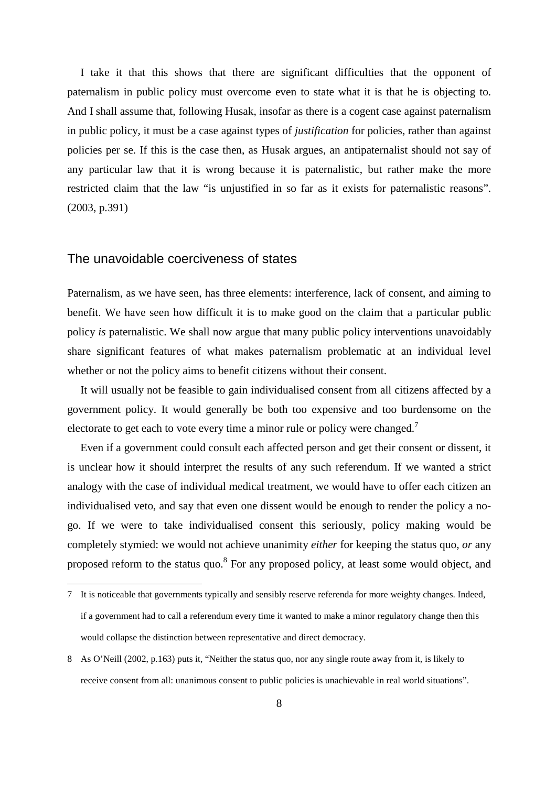I take it that this shows that there are significant difficulties that the opponent of paternalism in public policy must overcome even to state what it is that he is objecting to. And I shall assume that, following Husak, insofar as there is a cogent case against paternalism in public policy, it must be a case against types of *justification* for policies, rather than against policies per se. If this is the case then, as Husak argues, an antipaternalist should not say of any particular law that it is wrong because it is paternalistic, but rather make the more restricted claim that the law "is unjustified in so far as it exists for paternalistic reasons". (2003, p.391)

#### The unavoidable coerciveness of states

Paternalism, as we have seen, has three elements: interference, lack of consent, and aiming to benefit. We have seen how difficult it is to make good on the claim that a particular public policy *is* paternalistic. We shall now argue that many public policy interventions unavoidably share significant features of what makes paternalism problematic at an individual level whether or not the policy aims to benefit citizens without their consent.

It will usually not be feasible to gain individualised consent from all citizens affected by a government policy. It would generally be both too expensive and too burdensome on the electorate to get each to vote every time a minor rule or policy were changed.<sup>7</sup>

Even if a government could consult each affected person and get their consent or dissent, it is unclear how it should interpret the results of any such referendum. If we wanted a strict analogy with the case of individual medical treatment, we would have to offer each citizen an individualised veto, and say that even one dissent would be enough to render the policy a nogo. If we were to take individualised consent this seriously, policy making would be completely stymied: we would not achieve unanimity *either* for keeping the status quo, *or* any proposed reform to the status quo.<sup>8</sup> For any proposed policy, at least some would object, and

<sup>7</sup> It is noticeable that governments typically and sensibly reserve referenda for more weighty changes. Indeed, if a government had to call a referendum every time it wanted to make a minor regulatory change then this would collapse the distinction between representative and direct democracy.

<sup>8</sup> As O'Neill (2002, p.163) puts it, "Neither the status quo, nor any single route away from it, is likely to receive consent from all: unanimous consent to public policies is unachievable in real world situations".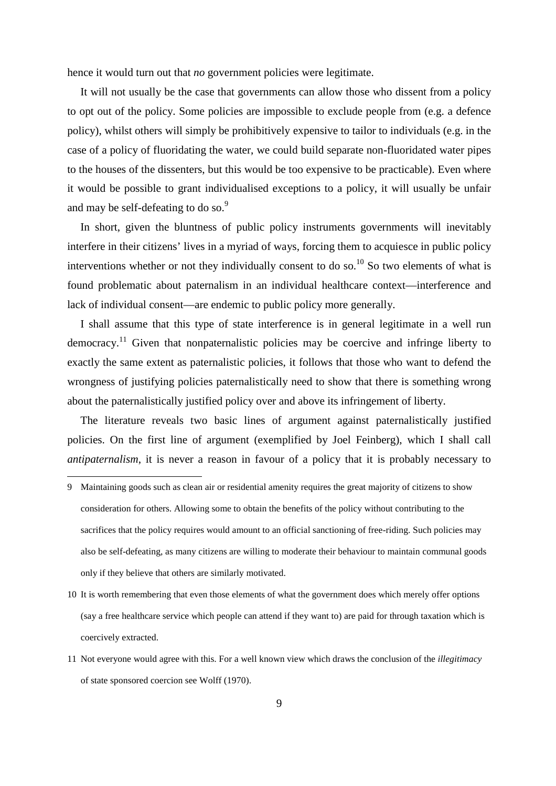hence it would turn out that *no* government policies were legitimate.

It will not usually be the case that governments can allow those who dissent from a policy to opt out of the policy. Some policies are impossible to exclude people from (e.g. a defence policy), whilst others will simply be prohibitively expensive to tailor to individuals (e.g. in the case of a policy of fluoridating the water, we could build separate non-fluoridated water pipes to the houses of the dissenters, but this would be too expensive to be practicable). Even where it would be possible to grant individualised exceptions to a policy, it will usually be unfair and may be self-defeating to do so.<sup>9</sup>

In short, given the bluntness of public policy instruments governments will inevitably interfere in their citizens' lives in a myriad of ways, forcing them to acquiesce in public policy interventions whether or not they individually consent to do so.<sup>10</sup> So two elements of what is found problematic about paternalism in an individual healthcare context—interference and lack of individual consent—are endemic to public policy more generally.

I shall assume that this type of state interference is in general legitimate in a well run democracy.<sup>11</sup> Given that nonpaternalistic policies may be coercive and infringe liberty to exactly the same extent as paternalistic policies, it follows that those who want to defend the wrongness of justifying policies paternalistically need to show that there is something wrong about the paternalistically justified policy over and above its infringement of liberty.

The literature reveals two basic lines of argument against paternalistically justified policies. On the first line of argument (exemplified by Joel Feinberg), which I shall call *antipaternalism*, it is never a reason in favour of a policy that it is probably necessary to

<sup>9</sup> Maintaining goods such as clean air or residential amenity requires the great majority of citizens to show consideration for others. Allowing some to obtain the benefits of the policy without contributing to the sacrifices that the policy requires would amount to an official sanctioning of free-riding. Such policies may also be self-defeating, as many citizens are willing to moderate their behaviour to maintain communal goods only if they believe that others are similarly motivated.

<sup>10</sup> It is worth remembering that even those elements of what the government does which merely offer options (say a free healthcare service which people can attend if they want to) are paid for through taxation which is coercively extracted.

<sup>11</sup> Not everyone would agree with this. For a well known view which draws the conclusion of the *illegitimacy* of state sponsored coercion see Wolff (1970).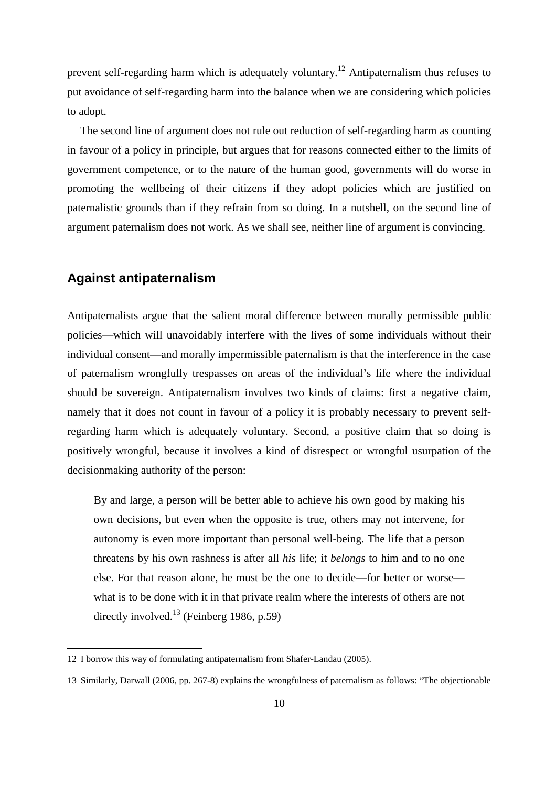prevent self-regarding harm which is adequately voluntary.<sup>12</sup> Antipaternalism thus refuses to put avoidance of self-regarding harm into the balance when we are considering which policies to adopt.

The second line of argument does not rule out reduction of self-regarding harm as counting in favour of a policy in principle, but argues that for reasons connected either to the limits of government competence, or to the nature of the human good, governments will do worse in promoting the wellbeing of their citizens if they adopt policies which are justified on paternalistic grounds than if they refrain from so doing. In a nutshell, on the second line of argument paternalism does not work. As we shall see, neither line of argument is convincing.

#### **Against antipaternalism**

Antipaternalists argue that the salient moral difference between morally permissible public policies—which will unavoidably interfere with the lives of some individuals without their individual consent—and morally impermissible paternalism is that the interference in the case of paternalism wrongfully trespasses on areas of the individual's life where the individual should be sovereign. Antipaternalism involves two kinds of claims: first a negative claim, namely that it does not count in favour of a policy it is probably necessary to prevent selfregarding harm which is adequately voluntary. Second, a positive claim that so doing is positively wrongful, because it involves a kind of disrespect or wrongful usurpation of the decisionmaking authority of the person:

By and large, a person will be better able to achieve his own good by making his own decisions, but even when the opposite is true, others may not intervene, for autonomy is even more important than personal well-being. The life that a person threatens by his own rashness is after all *his* life; it *belongs* to him and to no one else. For that reason alone, he must be the one to decide—for better or worse what is to be done with it in that private realm where the interests of others are not directly involved.<sup>13</sup> (Feinberg 1986, p.59)

<sup>12</sup> I borrow this way of formulating antipaternalism from Shafer-Landau (2005).

<sup>13</sup> Similarly, Darwall (2006, pp. 267-8) explains the wrongfulness of paternalism as follows: "The objectionable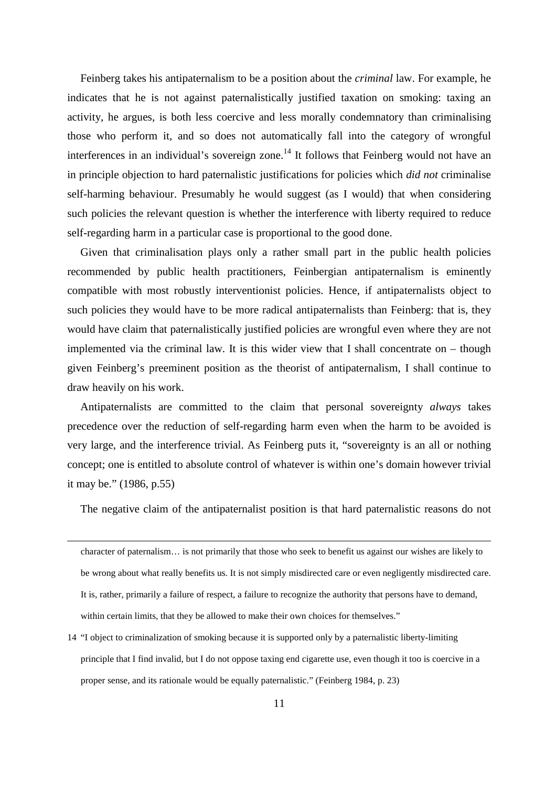Feinberg takes his antipaternalism to be a position about the *criminal* law. For example, he indicates that he is not against paternalistically justified taxation on smoking: taxing an activity, he argues, is both less coercive and less morally condemnatory than criminalising those who perform it, and so does not automatically fall into the category of wrongful interferences in an individual's sovereign zone.<sup>14</sup> It follows that Feinberg would not have an in principle objection to hard paternalistic justifications for policies which *did not* criminalise self-harming behaviour. Presumably he would suggest (as I would) that when considering such policies the relevant question is whether the interference with liberty required to reduce self-regarding harm in a particular case is proportional to the good done.

Given that criminalisation plays only a rather small part in the public health policies recommended by public health practitioners, Feinbergian antipaternalism is eminently compatible with most robustly interventionist policies. Hence, if antipaternalists object to such policies they would have to be more radical antipaternalists than Feinberg: that is, they would have claim that paternalistically justified policies are wrongful even where they are not implemented via the criminal law. It is this wider view that I shall concentrate on – though given Feinberg's preeminent position as the theorist of antipaternalism, I shall continue to draw heavily on his work.

Antipaternalists are committed to the claim that personal sovereignty *always* takes precedence over the reduction of self-regarding harm even when the harm to be avoided is very large, and the interference trivial. As Feinberg puts it, "sovereignty is an all or nothing concept; one is entitled to absolute control of whatever is within one's domain however trivial it may be." (1986, p.55)

The negative claim of the antipaternalist position is that hard paternalistic reasons do not

character of paternalism… is not primarily that those who seek to benefit us against our wishes are likely to be wrong about what really benefits us. It is not simply misdirected care or even negligently misdirected care. It is, rather, primarily a failure of respect, a failure to recognize the authority that persons have to demand, within certain limits, that they be allowed to make their own choices for themselves."

<sup>14</sup> "I object to criminalization of smoking because it is supported only by a paternalistic liberty-limiting principle that I find invalid, but I do not oppose taxing end cigarette use, even though it too is coercive in a proper sense, and its rationale would be equally paternalistic." (Feinberg 1984, p. 23)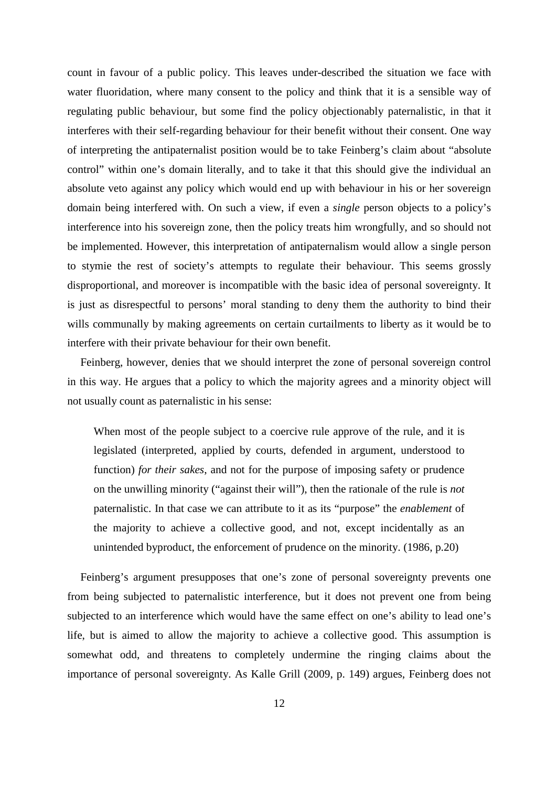count in favour of a public policy. This leaves under-described the situation we face with water fluoridation, where many consent to the policy and think that it is a sensible way of regulating public behaviour, but some find the policy objectionably paternalistic, in that it interferes with their self-regarding behaviour for their benefit without their consent. One way of interpreting the antipaternalist position would be to take Feinberg's claim about "absolute control" within one's domain literally, and to take it that this should give the individual an absolute veto against any policy which would end up with behaviour in his or her sovereign domain being interfered with. On such a view, if even a *single* person objects to a policy's interference into his sovereign zone, then the policy treats him wrongfully, and so should not be implemented. However, this interpretation of antipaternalism would allow a single person to stymie the rest of society's attempts to regulate their behaviour. This seems grossly disproportional, and moreover is incompatible with the basic idea of personal sovereignty. It is just as disrespectful to persons' moral standing to deny them the authority to bind their wills communally by making agreements on certain curtailments to liberty as it would be to interfere with their private behaviour for their own benefit.

Feinberg, however, denies that we should interpret the zone of personal sovereign control in this way. He argues that a policy to which the majority agrees and a minority object will not usually count as paternalistic in his sense:

When most of the people subject to a coercive rule approve of the rule, and it is legislated (interpreted, applied by courts, defended in argument, understood to function) *for their sakes*, and not for the purpose of imposing safety or prudence on the unwilling minority ("against their will"), then the rationale of the rule is *not* paternalistic. In that case we can attribute to it as its "purpose" the *enablement* of the majority to achieve a collective good, and not, except incidentally as an unintended byproduct, the enforcement of prudence on the minority. (1986, p.20)

Feinberg's argument presupposes that one's zone of personal sovereignty prevents one from being subjected to paternalistic interference, but it does not prevent one from being subjected to an interference which would have the same effect on one's ability to lead one's life, but is aimed to allow the majority to achieve a collective good. This assumption is somewhat odd, and threatens to completely undermine the ringing claims about the importance of personal sovereignty. As Kalle Grill (2009, p. 149) argues, Feinberg does not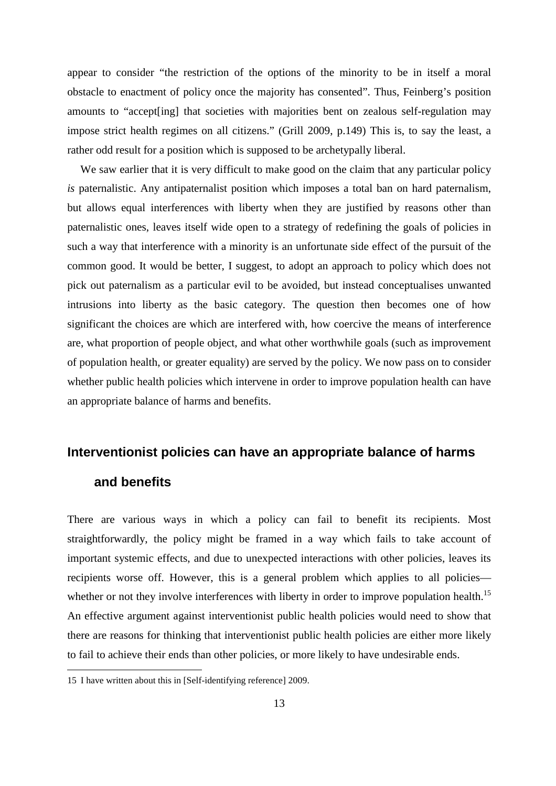appear to consider "the restriction of the options of the minority to be in itself a moral obstacle to enactment of policy once the majority has consented". Thus, Feinberg's position amounts to "accept[ing] that societies with majorities bent on zealous self-regulation may impose strict health regimes on all citizens." (Grill 2009, p.149) This is, to say the least, a rather odd result for a position which is supposed to be archetypally liberal.

We saw earlier that it is very difficult to make good on the claim that any particular policy *is* paternalistic. Any antipaternalist position which imposes a total ban on hard paternalism, but allows equal interferences with liberty when they are justified by reasons other than paternalistic ones, leaves itself wide open to a strategy of redefining the goals of policies in such a way that interference with a minority is an unfortunate side effect of the pursuit of the common good. It would be better, I suggest, to adopt an approach to policy which does not pick out paternalism as a particular evil to be avoided, but instead conceptualises unwanted intrusions into liberty as the basic category. The question then becomes one of how significant the choices are which are interfered with, how coercive the means of interference are, what proportion of people object, and what other worthwhile goals (such as improvement of population health, or greater equality) are served by the policy. We now pass on to consider whether public health policies which intervene in order to improve population health can have an appropriate balance of harms and benefits.

### **Interventionist policies can have an appropriate balance of harms**

#### **and benefits**

There are various ways in which a policy can fail to benefit its recipients. Most straightforwardly, the policy might be framed in a way which fails to take account of important systemic effects, and due to unexpected interactions with other policies, leaves its recipients worse off. However, this is a general problem which applies to all policies whether or not they involve interferences with liberty in order to improve population health.<sup>15</sup> An effective argument against interventionist public health policies would need to show that there are reasons for thinking that interventionist public health policies are either more likely to fail to achieve their ends than other policies, or more likely to have undesirable ends.

<sup>15</sup> I have written about this in [Self-identifying reference] 2009.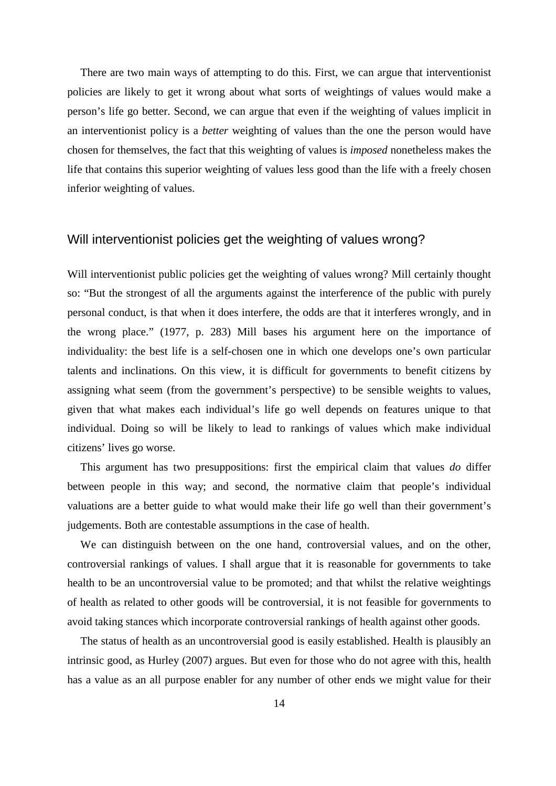There are two main ways of attempting to do this. First, we can argue that interventionist policies are likely to get it wrong about what sorts of weightings of values would make a person's life go better. Second, we can argue that even if the weighting of values implicit in an interventionist policy is a *better* weighting of values than the one the person would have chosen for themselves, the fact that this weighting of values is *imposed* nonetheless makes the life that contains this superior weighting of values less good than the life with a freely chosen inferior weighting of values.

#### Will interventionist policies get the weighting of values wrong?

Will interventionist public policies get the weighting of values wrong? Mill certainly thought so: "But the strongest of all the arguments against the interference of the public with purely personal conduct, is that when it does interfere, the odds are that it interferes wrongly, and in the wrong place." (1977, p. 283) Mill bases his argument here on the importance of individuality: the best life is a self-chosen one in which one develops one's own particular talents and inclinations. On this view, it is difficult for governments to benefit citizens by assigning what seem (from the government's perspective) to be sensible weights to values, given that what makes each individual's life go well depends on features unique to that individual. Doing so will be likely to lead to rankings of values which make individual citizens' lives go worse.

This argument has two presuppositions: first the empirical claim that values *do* differ between people in this way; and second, the normative claim that people's individual valuations are a better guide to what would make their life go well than their government's judgements. Both are contestable assumptions in the case of health.

We can distinguish between on the one hand, controversial values, and on the other, controversial rankings of values. I shall argue that it is reasonable for governments to take health to be an uncontroversial value to be promoted; and that whilst the relative weightings of health as related to other goods will be controversial, it is not feasible for governments to avoid taking stances which incorporate controversial rankings of health against other goods.

The status of health as an uncontroversial good is easily established. Health is plausibly an intrinsic good, as Hurley (2007) argues. But even for those who do not agree with this, health has a value as an all purpose enabler for any number of other ends we might value for their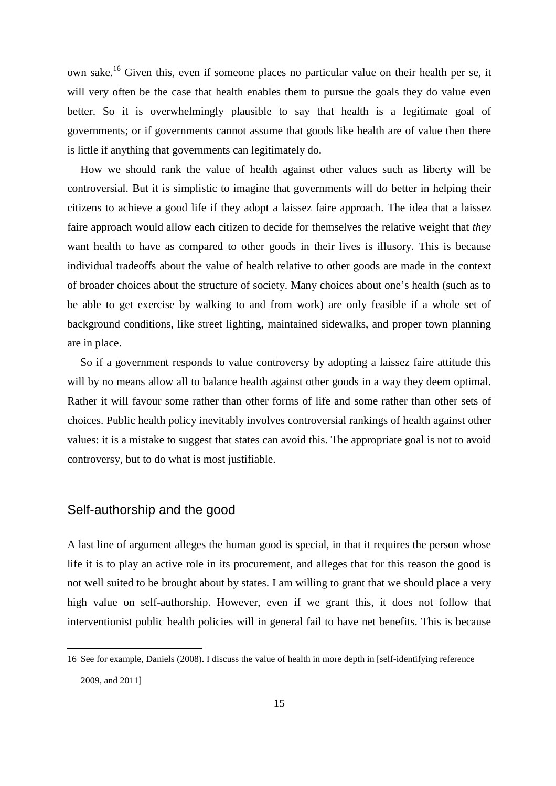own sake.<sup>16</sup> Given this, even if someone places no particular value on their health per se, it will very often be the case that health enables them to pursue the goals they do value even better. So it is overwhelmingly plausible to say that health is a legitimate goal of governments; or if governments cannot assume that goods like health are of value then there is little if anything that governments can legitimately do.

How we should rank the value of health against other values such as liberty will be controversial. But it is simplistic to imagine that governments will do better in helping their citizens to achieve a good life if they adopt a laissez faire approach. The idea that a laissez faire approach would allow each citizen to decide for themselves the relative weight that *they* want health to have as compared to other goods in their lives is illusory. This is because individual tradeoffs about the value of health relative to other goods are made in the context of broader choices about the structure of society. Many choices about one's health (such as to be able to get exercise by walking to and from work) are only feasible if a whole set of background conditions, like street lighting, maintained sidewalks, and proper town planning are in place.

So if a government responds to value controversy by adopting a laissez faire attitude this will by no means allow all to balance health against other goods in a way they deem optimal. Rather it will favour some rather than other forms of life and some rather than other sets of choices. Public health policy inevitably involves controversial rankings of health against other values: it is a mistake to suggest that states can avoid this. The appropriate goal is not to avoid controversy, but to do what is most justifiable.

#### Self-authorship and the good

A last line of argument alleges the human good is special, in that it requires the person whose life it is to play an active role in its procurement, and alleges that for this reason the good is not well suited to be brought about by states. I am willing to grant that we should place a very high value on self-authorship. However, even if we grant this, it does not follow that interventionist public health policies will in general fail to have net benefits. This is because

<sup>16</sup> See for example, Daniels (2008). I discuss the value of health in more depth in [self-identifying reference 2009, and 2011]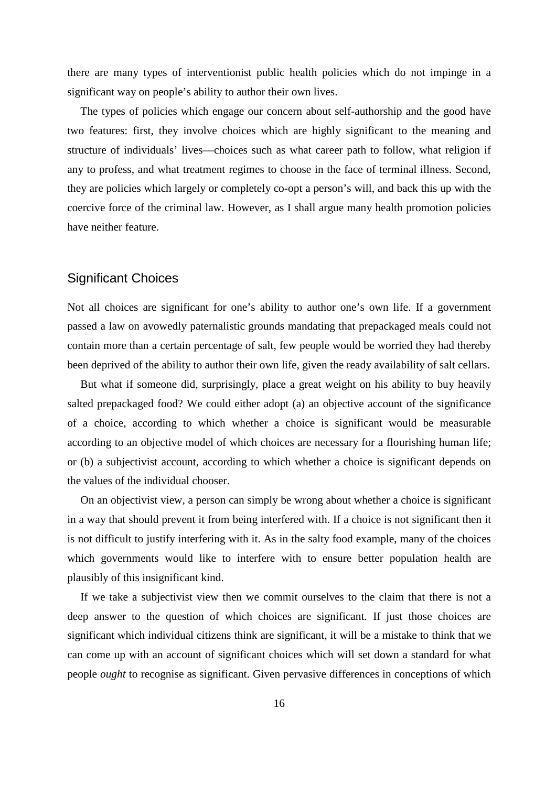there are many types of interventionist public health policies which do not impinge in a significant way on people's ability to author their own lives.

The types of policies which engage our concern about self-authorship and the good have two features: first, they involve choices which are highly significant to the meaning and structure of individuals' lives—choices such as what career path to follow, what religion if any to profess, and what treatment regimes to choose in the face of terminal illness. Second, they are policies which largely or completely co-opt a person's will, and back this up with the coercive force of the criminal law. However, as I shall argue many health promotion policies have neither feature.

#### Significant Choices

Not all choices are significant for one's ability to author one's own life. If a government passed a law on avowedly paternalistic grounds mandating that prepackaged meals could not contain more than a certain percentage of salt, few people would be worried they had thereby been deprived of the ability to author their own life, given the ready availability of salt cellars.

But what if someone did, surprisingly, place a great weight on his ability to buy heavily salted prepackaged food? We could either adopt (a) an objective account of the significance of a choice, according to which whether a choice is significant would be measurable according to an objective model of which choices are necessary for a flourishing human life; or (b) a subjectivist account, according to which whether a choice is significant depends on the values of the individual chooser.

On an objectivist view, a person can simply be wrong about whether a choice is significant in a way that should prevent it from being interfered with. If a choice is not significant then it is not difficult to justify interfering with it. As in the salty food example, many of the choices which governments would like to interfere with to ensure better population health are plausibly of this insignificant kind.

If we take a subjectivist view then we commit ourselves to the claim that there is not a deep answer to the question of which choices are significant*.* If just those choices are significant which individual citizens think are significant, it will be a mistake to think that we can come up with an account of significant choices which will set down a standard for what people *ought* to recognise as significant. Given pervasive differences in conceptions of which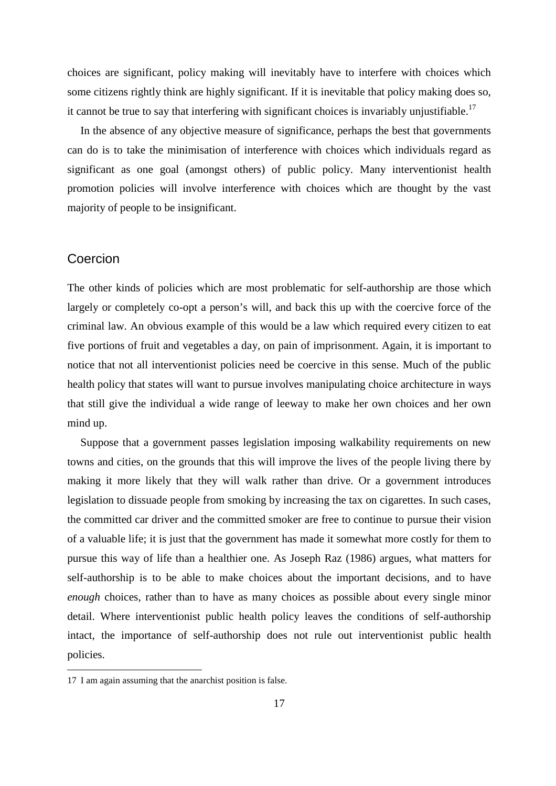choices are significant, policy making will inevitably have to interfere with choices which some citizens rightly think are highly significant. If it is inevitable that policy making does so, it cannot be true to say that interfering with significant choices is invariably unjustifiable.<sup>17</sup>

In the absence of any objective measure of significance, perhaps the best that governments can do is to take the minimisation of interference with choices which individuals regard as significant as one goal (amongst others) of public policy. Many interventionist health promotion policies will involve interference with choices which are thought by the vast majority of people to be insignificant.

#### Coercion

The other kinds of policies which are most problematic for self-authorship are those which largely or completely co-opt a person's will, and back this up with the coercive force of the criminal law. An obvious example of this would be a law which required every citizen to eat five portions of fruit and vegetables a day, on pain of imprisonment. Again, it is important to notice that not all interventionist policies need be coercive in this sense. Much of the public health policy that states will want to pursue involves manipulating choice architecture in ways that still give the individual a wide range of leeway to make her own choices and her own mind up.

Suppose that a government passes legislation imposing walkability requirements on new towns and cities, on the grounds that this will improve the lives of the people living there by making it more likely that they will walk rather than drive. Or a government introduces legislation to dissuade people from smoking by increasing the tax on cigarettes. In such cases, the committed car driver and the committed smoker are free to continue to pursue their vision of a valuable life; it is just that the government has made it somewhat more costly for them to pursue this way of life than a healthier one. As Joseph Raz (1986) argues, what matters for self-authorship is to be able to make choices about the important decisions, and to have *enough* choices, rather than to have as many choices as possible about every single minor detail. Where interventionist public health policy leaves the conditions of self-authorship intact, the importance of self-authorship does not rule out interventionist public health policies.

<sup>17</sup> I am again assuming that the anarchist position is false.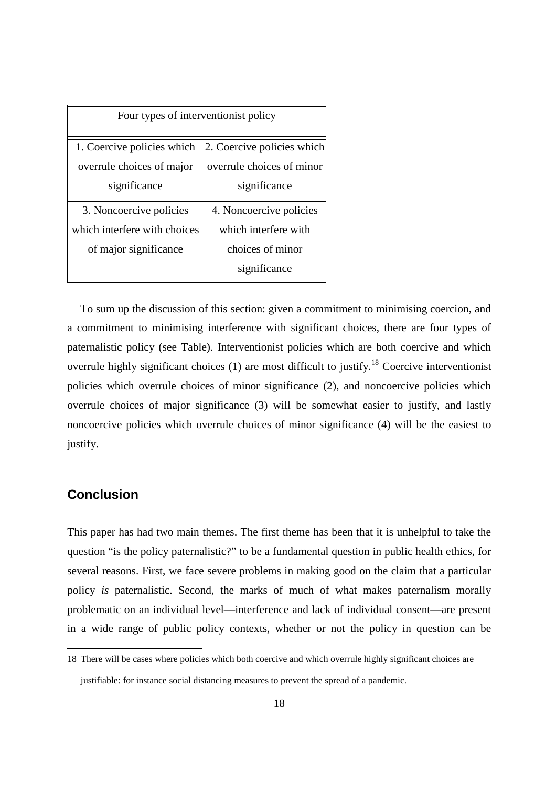| Four types of interventionist policy |                            |
|--------------------------------------|----------------------------|
| 1. Coercive policies which           | 2. Coercive policies which |
| overrule choices of major            | overrule choices of minor  |
| significance                         | significance               |
| 3. Noncoercive policies              | 4. Noncoercive policies    |
| which interfere with choices         | which interfere with       |
| of major significance                | choices of minor           |
|                                      | significance               |

To sum up the discussion of this section: given a commitment to minimising coercion, and a commitment to minimising interference with significant choices, there are four types of paternalistic policy (see Table). Interventionist policies which are both coercive and which overrule highly significant choices  $(1)$  are most difficult to justify.<sup>18</sup> Coercive interventionist policies which overrule choices of minor significance (2), and noncoercive policies which overrule choices of major significance (3) will be somewhat easier to justify, and lastly noncoercive policies which overrule choices of minor significance (4) will be the easiest to justify.

#### **Conclusion**

This paper has had two main themes. The first theme has been that it is unhelpful to take the question "is the policy paternalistic?" to be a fundamental question in public health ethics, for several reasons. First, we face severe problems in making good on the claim that a particular policy *is* paternalistic. Second, the marks of much of what makes paternalism morally problematic on an individual level—interference and lack of individual consent—are present in a wide range of public policy contexts, whether or not the policy in question can be

<sup>18</sup> There will be cases where policies which both coercive and which overrule highly significant choices are

justifiable: for instance social distancing measures to prevent the spread of a pandemic.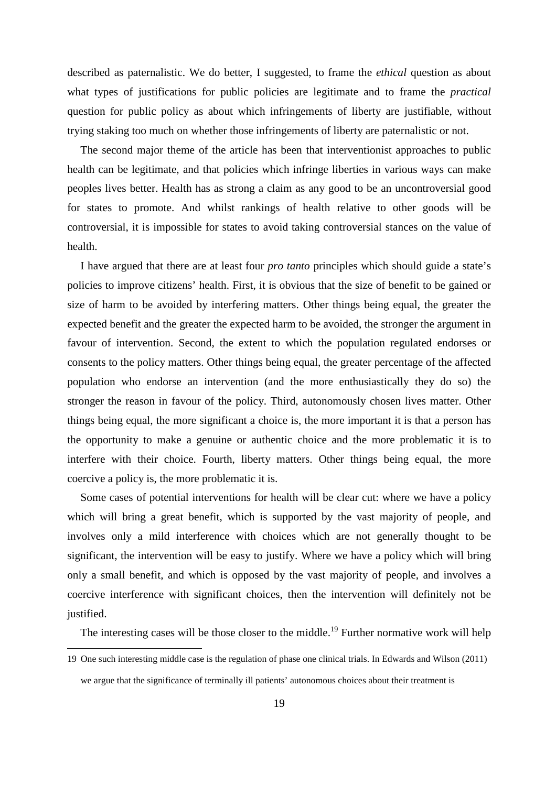described as paternalistic. We do better, I suggested, to frame the *ethical* question as about what types of justifications for public policies are legitimate and to frame the *practical* question for public policy as about which infringements of liberty are justifiable, without trying staking too much on whether those infringements of liberty are paternalistic or not.

The second major theme of the article has been that interventionist approaches to public health can be legitimate, and that policies which infringe liberties in various ways can make peoples lives better. Health has as strong a claim as any good to be an uncontroversial good for states to promote. And whilst rankings of health relative to other goods will be controversial, it is impossible for states to avoid taking controversial stances on the value of health.

I have argued that there are at least four *pro tanto* principles which should guide a state's policies to improve citizens' health. First, it is obvious that the size of benefit to be gained or size of harm to be avoided by interfering matters. Other things being equal, the greater the expected benefit and the greater the expected harm to be avoided, the stronger the argument in favour of intervention. Second, the extent to which the population regulated endorses or consents to the policy matters. Other things being equal, the greater percentage of the affected population who endorse an intervention (and the more enthusiastically they do so) the stronger the reason in favour of the policy. Third, autonomously chosen lives matter. Other things being equal, the more significant a choice is, the more important it is that a person has the opportunity to make a genuine or authentic choice and the more problematic it is to interfere with their choice. Fourth, liberty matters. Other things being equal, the more coercive a policy is, the more problematic it is.

Some cases of potential interventions for health will be clear cut: where we have a policy which will bring a great benefit, which is supported by the vast majority of people, and involves only a mild interference with choices which are not generally thought to be significant, the intervention will be easy to justify. Where we have a policy which will bring only a small benefit, and which is opposed by the vast majority of people, and involves a coercive interference with significant choices, then the intervention will definitely not be justified.

The interesting cases will be those closer to the middle.<sup>19</sup> Further normative work will help

<sup>19</sup> One such interesting middle case is the regulation of phase one clinical trials. In Edwards and Wilson (2011) we argue that the significance of terminally ill patients' autonomous choices about their treatment is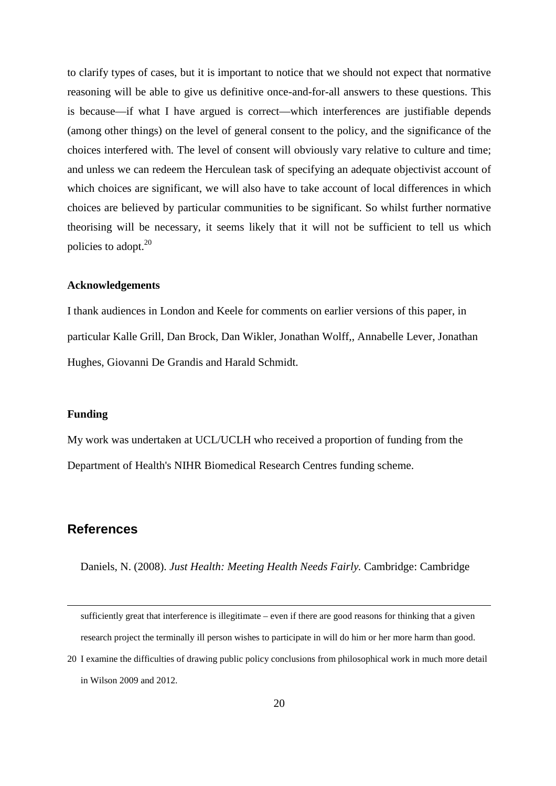to clarify types of cases, but it is important to notice that we should not expect that normative reasoning will be able to give us definitive once-and-for-all answers to these questions. This is because—if what I have argued is correct—which interferences are justifiable depends (among other things) on the level of general consent to the policy, and the significance of the choices interfered with. The level of consent will obviously vary relative to culture and time; and unless we can redeem the Herculean task of specifying an adequate objectivist account of which choices are significant, we will also have to take account of local differences in which choices are believed by particular communities to be significant. So whilst further normative theorising will be necessary, it seems likely that it will not be sufficient to tell us which policies to adopt.<sup>20</sup>

#### **Acknowledgements**

I thank audiences in London and Keele for comments on earlier versions of this paper, in particular Kalle Grill, Dan Brock, Dan Wikler, Jonathan Wolff,, Annabelle Lever, Jonathan Hughes, Giovanni De Grandis and Harald Schmidt.

#### **Funding**

My work was undertaken at UCL/UCLH who received a proportion of funding from the Department of Health's NIHR Biomedical Research Centres funding scheme.

## **References**

Daniels, N. (2008). *Just Health: Meeting Health Needs Fairly.* Cambridge: Cambridge

sufficiently great that interference is illegitimate – even if there are good reasons for thinking that a given

research project the terminally ill person wishes to participate in will do him or her more harm than good.

<sup>20</sup> I examine the difficulties of drawing public policy conclusions from philosophical work in much more detail in Wilson 2009 and 2012.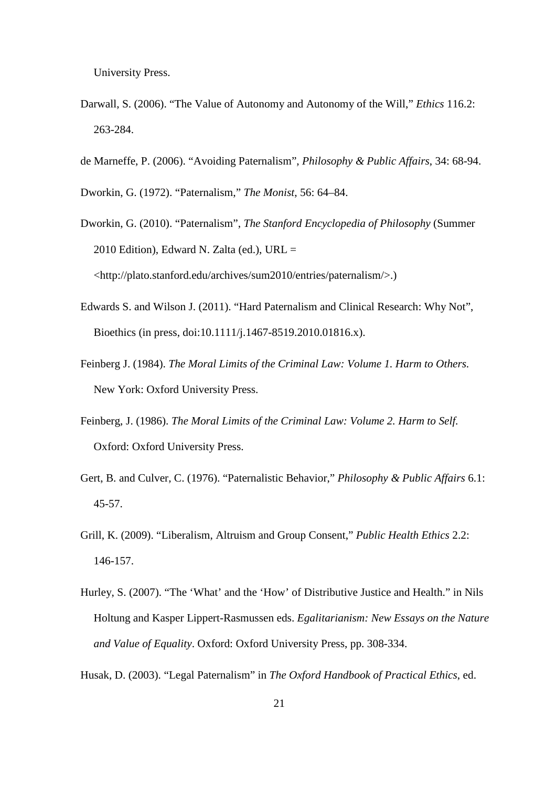University Press.

- Darwall, S. (2006). "The Value of Autonomy and Autonomy of the Will," *Ethics* 116.2: 263-284.
- de Marneffe, P. (2006). "Avoiding Paternalism", *Philosophy & Public Affairs*, 34: 68-94.
- Dworkin, G. (1972). "Paternalism," *The Monist*, 56: 64–84.
- Dworkin, G. (2010). "Paternalism", *The Stanford Encyclopedia of Philosophy* (Summer 2010 Edition), Edward N. Zalta (ed.), URL = <http://plato.stanford.edu/archives/sum2010/entries/paternalism/>.)
- Edwards S. and Wilson J. (2011). "Hard Paternalism and Clinical Research: Why Not", Bioethics (in press, doi:10.1111/j.1467-8519.2010.01816.x).
- Feinberg J. (1984). *The Moral Limits of the Criminal Law: Volume 1. Harm to Others.* New York: Oxford University Press.
- Feinberg, J. (1986). *The Moral Limits of the Criminal Law: Volume 2. Harm to Self.* Oxford: Oxford University Press.
- Gert, B. and Culver, C. (1976). "Paternalistic Behavior," *Philosophy & Public Affairs* 6.1: 45-57.
- Grill, K. (2009). "Liberalism, Altruism and Group Consent," *Public Health Ethics* 2.2: 146-157.
- Hurley, S. (2007). "The 'What' and the 'How' of Distributive Justice and Health." in Nils Holtung and Kasper Lippert-Rasmussen eds. *Egalitarianism: New Essays on the Nature and Value of Equality*. Oxford: Oxford University Press, pp. 308-334.
- Husak, D. (2003). "Legal Paternalism" in *The Oxford Handbook of Practical Ethics*, ed.